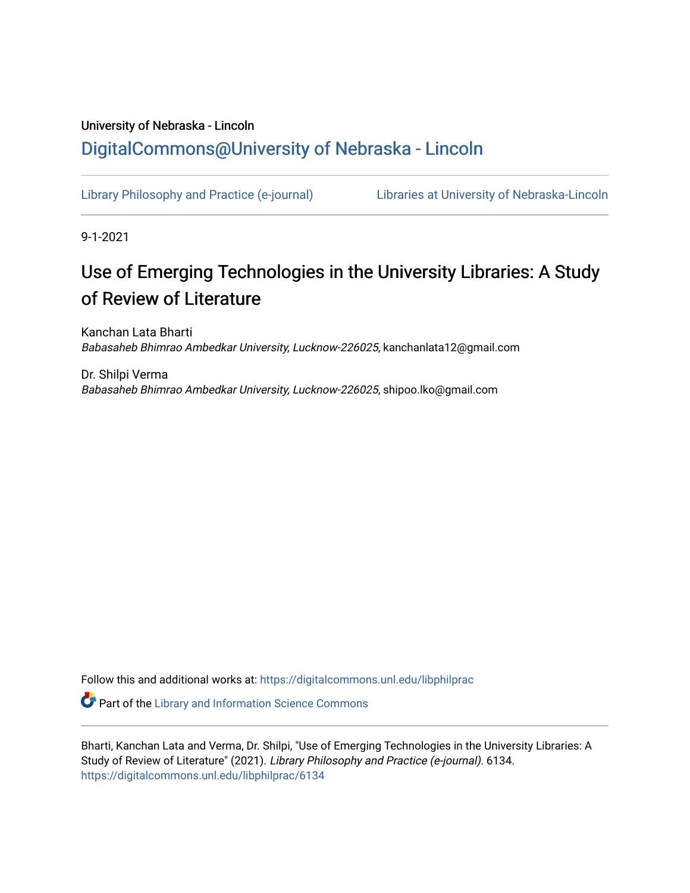# University of Nebraska - Lincoln [DigitalCommons@University of Nebraska - Lincoln](https://digitalcommons.unl.edu/)

[Library Philosophy and Practice \(e-journal\)](https://digitalcommons.unl.edu/libphilprac) [Libraries at University of Nebraska-Lincoln](https://digitalcommons.unl.edu/libraries) 

9-1-2021

# Use of Emerging Technologies in the University Libraries: A Study of Review of Literature

Kanchan Lata Bharti Babasaheb Bhimrao Ambedkar University, Lucknow-226025, kanchanlata12@gmail.com

Dr. Shilpi Verma Babasaheb Bhimrao Ambedkar University, Lucknow-226025, shipoo.lko@gmail.com

Follow this and additional works at: [https://digitalcommons.unl.edu/libphilprac](https://digitalcommons.unl.edu/libphilprac?utm_source=digitalcommons.unl.edu%2Flibphilprac%2F6134&utm_medium=PDF&utm_campaign=PDFCoverPages) 

**C** Part of the Library and Information Science Commons

Bharti, Kanchan Lata and Verma, Dr. Shilpi, "Use of Emerging Technologies in the University Libraries: A Study of Review of Literature" (2021). Library Philosophy and Practice (e-journal). 6134. [https://digitalcommons.unl.edu/libphilprac/6134](https://digitalcommons.unl.edu/libphilprac/6134?utm_source=digitalcommons.unl.edu%2Flibphilprac%2F6134&utm_medium=PDF&utm_campaign=PDFCoverPages)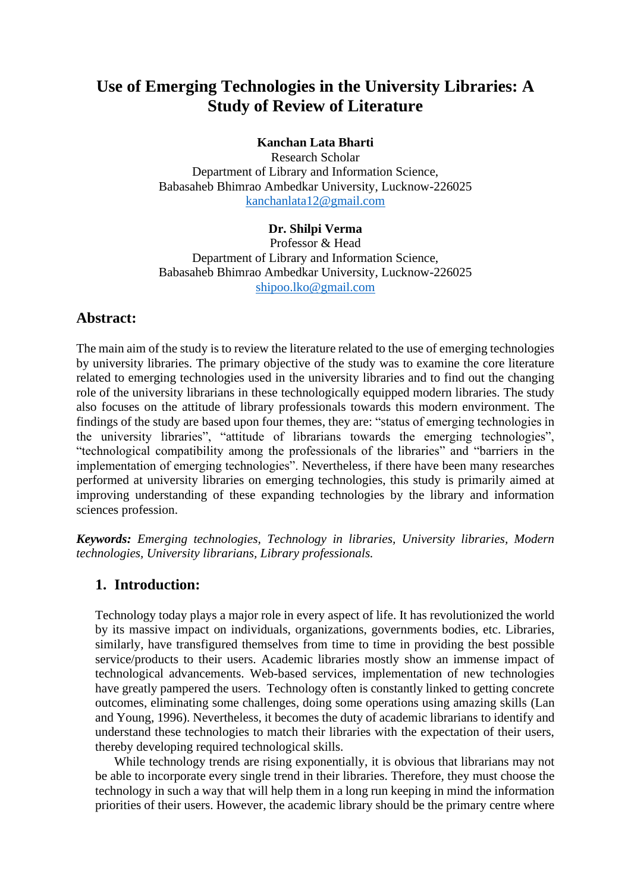## **Use of Emerging Technologies in the University Libraries: A Study of Review of Literature**

### **Kanchan Lata Bharti**

Research Scholar Department of Library and Information Science, Babasaheb Bhimrao Ambedkar University, Lucknow-226025 [kanchanlata12@gmail.com](mailto:kanchanlata12@gmail.com)

#### **Dr. Shilpi Verma**

Professor & Head Department of Library and Information Science, Babasaheb Bhimrao Ambedkar University, Lucknow-226025 [shipoo.lko@gmail.com](mailto:shipoo.lko@gmail.com)

### **Abstract:**

The main aim of the study is to review the literature related to the use of emerging technologies by university libraries. The primary objective of the study was to examine the core literature related to emerging technologies used in the university libraries and to find out the changing role of the university librarians in these technologically equipped modern libraries. The study also focuses on the attitude of library professionals towards this modern environment. The findings of the study are based upon four themes, they are: "status of emerging technologies in the university libraries", "attitude of librarians towards the emerging technologies", "technological compatibility among the professionals of the libraries" and "barriers in the implementation of emerging technologies". Nevertheless, if there have been many researches performed at university libraries on emerging technologies, this study is primarily aimed at improving understanding of these expanding technologies by the library and information sciences profession.

*Keywords: Emerging technologies, Technology in libraries, University libraries, Modern technologies, University librarians, Library professionals.*

### **1. Introduction:**

Technology today plays a major role in every aspect of life. It has revolutionized the world by its massive impact on individuals, organizations, governments bodies, etc. Libraries, similarly, have transfigured themselves from time to time in providing the best possible service/products to their users. Academic libraries mostly show an immense impact of technological advancements. Web-based services, implementation of new technologies have greatly pampered the users. Technology often is constantly linked to getting concrete outcomes, eliminating some challenges, doing some operations using amazing skills (Lan and Young, 1996). Nevertheless, it becomes the duty of academic librarians to identify and understand these technologies to match their libraries with the expectation of their users, thereby developing required technological skills.

While technology trends are rising exponentially, it is obvious that librarians may not be able to incorporate every single trend in their libraries. Therefore, they must choose the technology in such a way that will help them in a long run keeping in mind the information priorities of their users. However, the academic library should be the primary centre where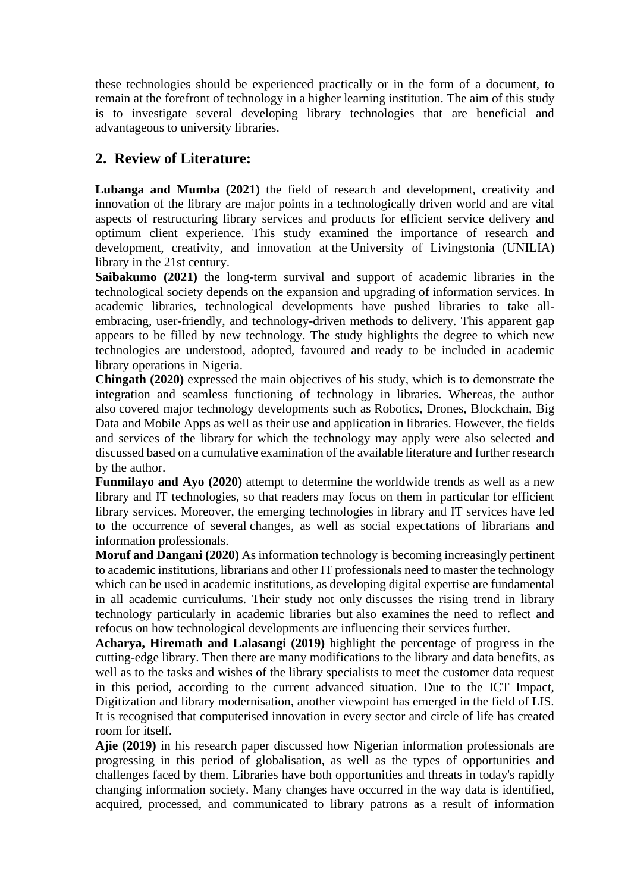these technologies should be experienced practically or in the form of a document, to remain at the forefront of technology in a higher learning institution. The aim of this study is to investigate several developing library technologies that are beneficial and advantageous to university libraries.

### **2. Review of Literature:**

**Lubanga and Mumba (2021)** the field of research and development, creativity and innovation of the library are major points in a technologically driven world and are vital aspects of restructuring library services and products for efficient service delivery and optimum client experience. This study examined the importance of research and development, creativity, and innovation at the University of Livingstonia (UNILIA) library in the 21st century.

**Saibakumo (2021)** the long-term survival and support of academic libraries in the technological society depends on the expansion and upgrading of information services. In academic libraries, technological developments have pushed libraries to take allembracing, user-friendly, and technology-driven methods to delivery. This apparent gap appears to be filled by new technology. The study highlights the degree to which new technologies are understood, adopted, favoured and ready to be included in academic library operations in Nigeria.

**Chingath (2020)** expressed the main objectives of his study, which is to demonstrate the integration and seamless functioning of technology in libraries. Whereas, the author also covered major technology developments such as Robotics, Drones, Blockchain, Big Data and Mobile Apps as well as their use and application in libraries. However, the fields and services of the library for which the technology may apply were also selected and discussed based on a cumulative examination of the available literature and further research by the author.

**Funmilayo and Ayo (2020)** attempt to determine the worldwide trends as well as a new library and IT technologies, so that readers may focus on them in particular for efficient library services. Moreover, the emerging technologies in library and IT services have led to the occurrence of several changes, as well as social expectations of librarians and information professionals.

**Moruf and Dangani (2020)** As information technology is becoming increasingly pertinent to academic institutions, librarians and other IT professionals need to master the technology which can be used in academic institutions, as developing digital expertise are fundamental in all academic curriculums. Their study not only discusses the rising trend in library technology particularly in academic libraries but also examines the need to reflect and refocus on how technological developments are influencing their services further.

**Acharya, Hiremath and Lalasangi (2019)** highlight the percentage of progress in the cutting-edge library. Then there are many modifications to the library and data benefits, as well as to the tasks and wishes of the library specialists to meet the customer data request in this period, according to the current advanced situation. Due to the ICT Impact, Digitization and library modernisation, another viewpoint has emerged in the field of LIS. It is recognised that computerised innovation in every sector and circle of life has created room for itself.

**Ajie (2019)** in his research paper discussed how Nigerian information professionals are progressing in this period of globalisation, as well as the types of opportunities and challenges faced by them. Libraries have both opportunities and threats in today's rapidly changing information society. Many changes have occurred in the way data is identified, acquired, processed, and communicated to library patrons as a result of information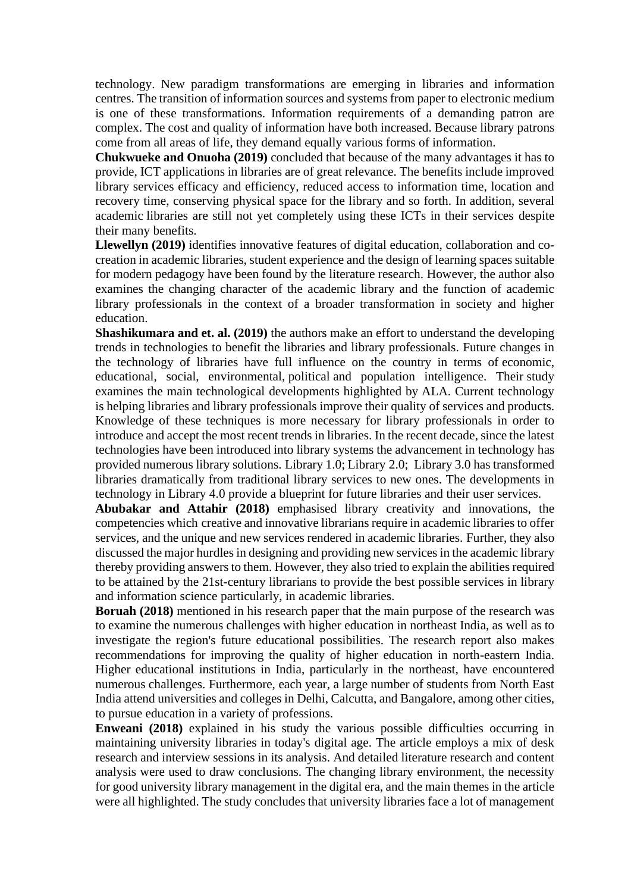technology. New paradigm transformations are emerging in libraries and information centres. The transition of information sources and systems from paper to electronic medium is one of these transformations. Information requirements of a demanding patron are complex. The cost and quality of information have both increased. Because library patrons come from all areas of life, they demand equally various forms of information.

**Chukwueke and Onuoha (2019)** concluded that because of the many advantages it has to provide, ICT applications in libraries are of great relevance. The benefits include improved library services efficacy and efficiency, reduced access to information time, location and recovery time, conserving physical space for the library and so forth. In addition, several academic libraries are still not yet completely using these ICTs in their services despite their many benefits.

**Llewellyn (2019)** identifies innovative features of digital education, collaboration and cocreation in academic libraries, student experience and the design of learning spaces suitable for modern pedagogy have been found by the literature research. However, the author also examines the changing character of the academic library and the function of academic library professionals in the context of a broader transformation in society and higher education.

**Shashikumara and et. al. (2019)** the authors make an effort to understand the developing trends in technologies to benefit the libraries and library professionals. Future changes in the technology of libraries have full influence on the country in terms of economic, educational, social, environmental, political and population intelligence. Their study examines the main technological developments highlighted by ALA. Current technology is helping libraries and library professionals improve their quality of services and products. Knowledge of these techniques is more necessary for library professionals in order to introduce and accept the most recent trends in libraries. In the recent decade, since the latest technologies have been introduced into library systems the advancement in technology has provided numerous library solutions. Library 1.0; Library 2.0; Library 3.0 has transformed libraries dramatically from traditional library services to new ones. The developments in technology in Library 4.0 provide a blueprint for future libraries and their user services.

**Abubakar and Attahir (2018)** emphasised library creativity and innovations, the competencies which creative and innovative librarians require in academic libraries to offer services, and the unique and new services rendered in academic libraries. Further, they also discussed the major hurdles in designing and providing new services in the academic library thereby providing answers to them. However, they also tried to explain the abilities required to be attained by the 21st-century librarians to provide the best possible services in library and information science particularly, in academic libraries.

**Boruah (2018)** mentioned in his research paper that the main purpose of the research was to examine the numerous challenges with higher education in northeast India, as well as to investigate the region's future educational possibilities. The research report also makes recommendations for improving the quality of higher education in north-eastern India. Higher educational institutions in India, particularly in the northeast, have encountered numerous challenges. Furthermore, each year, a large number of students from North East India attend universities and colleges in Delhi, Calcutta, and Bangalore, among other cities, to pursue education in a variety of professions.

**Enweani (2018)** explained in his study the various possible difficulties occurring in maintaining university libraries in today's digital age. The article employs a mix of desk research and interview sessions in its analysis. And detailed literature research and content analysis were used to draw conclusions. The changing library environment, the necessity for good university library management in the digital era, and the main themes in the article were all highlighted. The study concludes that university libraries face a lot of management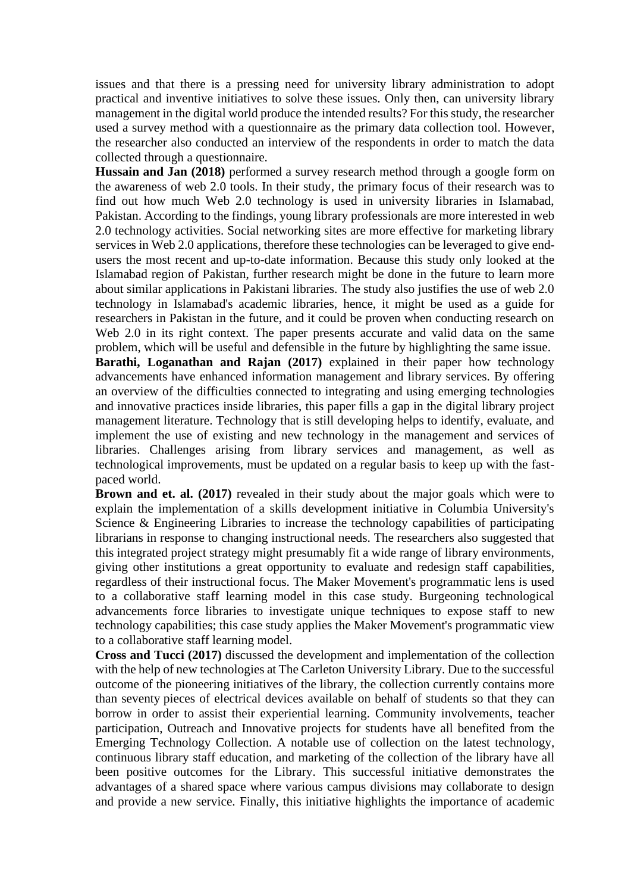issues and that there is a pressing need for university library administration to adopt practical and inventive initiatives to solve these issues. Only then, can university library management in the digital world produce the intended results? For this study, the researcher used a survey method with a questionnaire as the primary data collection tool. However, the researcher also conducted an interview of the respondents in order to match the data collected through a questionnaire.

**Hussain and Jan (2018)** performed a survey research method through a google form on the awareness of web 2.0 tools. In their study, the primary focus of their research was to find out how much Web 2.0 technology is used in university libraries in Islamabad, Pakistan. According to the findings, young library professionals are more interested in web 2.0 technology activities. Social networking sites are more effective for marketing library services in Web 2.0 applications, therefore these technologies can be leveraged to give endusers the most recent and up-to-date information. Because this study only looked at the Islamabad region of Pakistan, further research might be done in the future to learn more about similar applications in Pakistani libraries. The study also justifies the use of web 2.0 technology in Islamabad's academic libraries, hence, it might be used as a guide for researchers in Pakistan in the future, and it could be proven when conducting research on Web 2.0 in its right context. The paper presents accurate and valid data on the same problem, which will be useful and defensible in the future by highlighting the same issue.

**Barathi, Loganathan and Rajan (2017)** explained in their paper how technology advancements have enhanced information management and library services. By offering an overview of the difficulties connected to integrating and using emerging technologies and innovative practices inside libraries, this paper fills a gap in the digital library project management literature. Technology that is still developing helps to identify, evaluate, and implement the use of existing and new technology in the management and services of libraries. Challenges arising from library services and management, as well as technological improvements, must be updated on a regular basis to keep up with the fastpaced world.

**Brown and et. al.** (2017) revealed in their study about the major goals which were to explain the implementation of a skills development initiative in Columbia University's Science & Engineering Libraries to increase the technology capabilities of participating librarians in response to changing instructional needs. The researchers also suggested that this integrated project strategy might presumably fit a wide range of library environments, giving other institutions a great opportunity to evaluate and redesign staff capabilities, regardless of their instructional focus. The Maker Movement's programmatic lens is used to a collaborative staff learning model in this case study. Burgeoning technological advancements force libraries to investigate unique techniques to expose staff to new technology capabilities; this case study applies the Maker Movement's programmatic view to a collaborative staff learning model.

**Cross and Tucci (2017)** discussed the development and implementation of the collection with the help of new technologies at The Carleton University Library. Due to the successful outcome of the pioneering initiatives of the library, the collection currently contains more than seventy pieces of electrical devices available on behalf of students so that they can borrow in order to assist their experiential learning. Community involvements, teacher participation, Outreach and Innovative projects for students have all benefited from the Emerging Technology Collection. A notable use of collection on the latest technology, continuous library staff education, and marketing of the collection of the library have all been positive outcomes for the Library. This successful initiative demonstrates the advantages of a shared space where various campus divisions may collaborate to design and provide a new service. Finally, this initiative highlights the importance of academic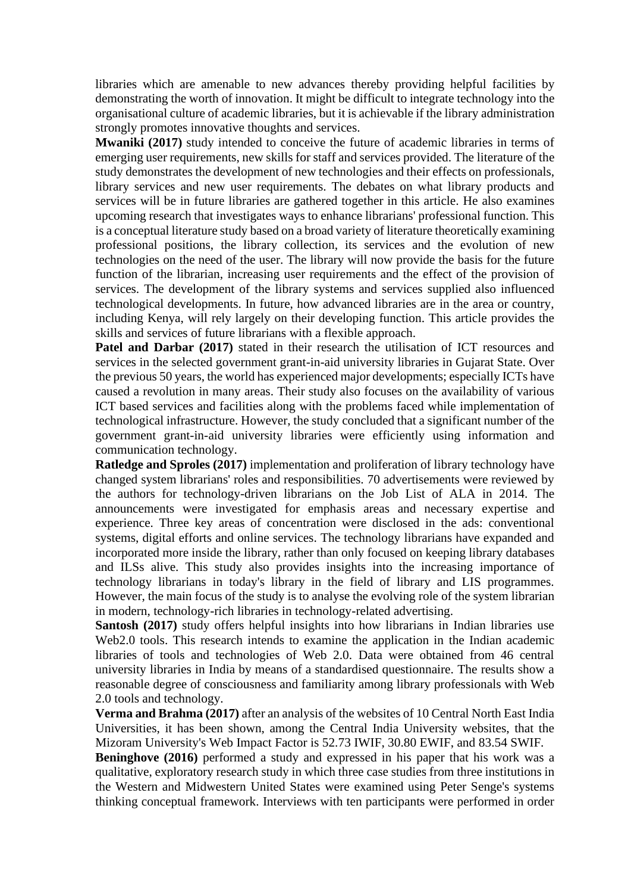libraries which are amenable to new advances thereby providing helpful facilities by demonstrating the worth of innovation. It might be difficult to integrate technology into the organisational culture of academic libraries, but it is achievable if the library administration strongly promotes innovative thoughts and services.

**Mwaniki (2017)** study intended to conceive the future of academic libraries in terms of emerging user requirements, new skills for staff and services provided. The literature of the study demonstrates the development of new technologies and their effects on professionals, library services and new user requirements. The debates on what library products and services will be in future libraries are gathered together in this article. He also examines upcoming research that investigates ways to enhance librarians' professional function. This is a conceptual literature study based on a broad variety of literature theoretically examining professional positions, the library collection, its services and the evolution of new technologies on the need of the user. The library will now provide the basis for the future function of the librarian, increasing user requirements and the effect of the provision of services. The development of the library systems and services supplied also influenced technological developments. In future, how advanced libraries are in the area or country, including Kenya, will rely largely on their developing function. This article provides the skills and services of future librarians with a flexible approach.

**Patel and Darbar (2017)** stated in their research the utilisation of ICT resources and services in the selected government grant-in-aid university libraries in Gujarat State. Over the previous 50 years, the world has experienced major developments; especially ICTs have caused a revolution in many areas. Their study also focuses on the availability of various ICT based services and facilities along with the problems faced while implementation of technological infrastructure. However, the study concluded that a significant number of the government grant-in-aid university libraries were efficiently using information and communication technology.

**Ratledge and Sproles (2017)** implementation and proliferation of library technology have changed system librarians' roles and responsibilities. 70 advertisements were reviewed by the authors for technology-driven librarians on the Job List of ALA in 2014. The announcements were investigated for emphasis areas and necessary expertise and experience. Three key areas of concentration were disclosed in the ads: conventional systems, digital efforts and online services. The technology librarians have expanded and incorporated more inside the library, rather than only focused on keeping library databases and ILSs alive. This study also provides insights into the increasing importance of technology librarians in today's library in the field of library and LIS programmes. However, the main focus of the study is to analyse the evolving role of the system librarian in modern, technology-rich libraries in technology-related advertising.

**Santosh (2017)** study offers helpful insights into how librarians in Indian libraries use Web2.0 tools. This research intends to examine the application in the Indian academic libraries of tools and technologies of Web 2.0. Data were obtained from 46 central university libraries in India by means of a standardised questionnaire. The results show a reasonable degree of consciousness and familiarity among library professionals with Web 2.0 tools and technology.

**Verma and Brahma (2017)** after an analysis of the websites of 10 Central North East India Universities, it has been shown, among the Central India University websites, that the Mizoram University's Web Impact Factor is 52.73 IWIF, 30.80 EWIF, and 83.54 SWIF.

**Beninghove (2016)** performed a study and expressed in his paper that his work was a qualitative, exploratory research study in which three case studies from three institutions in the Western and Midwestern United States were examined using Peter Senge's systems thinking conceptual framework. Interviews with ten participants were performed in order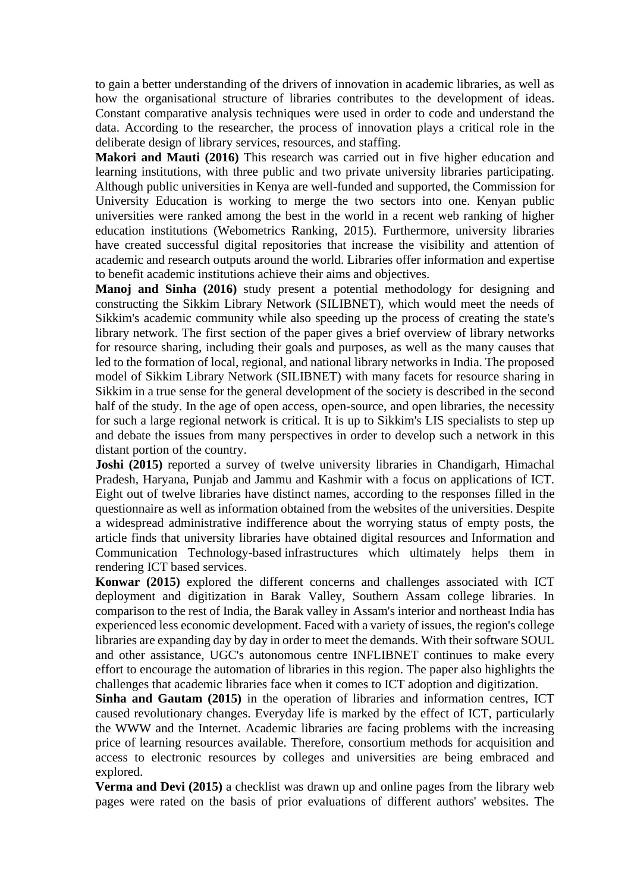to gain a better understanding of the drivers of innovation in academic libraries, as well as how the organisational structure of libraries contributes to the development of ideas. Constant comparative analysis techniques were used in order to code and understand the data. According to the researcher, the process of innovation plays a critical role in the deliberate design of library services, resources, and staffing.

**Makori and Mauti (2016)** This research was carried out in five higher education and learning institutions, with three public and two private university libraries participating. Although public universities in Kenya are well-funded and supported, the Commission for University Education is working to merge the two sectors into one. Kenyan public universities were ranked among the best in the world in a recent web ranking of higher education institutions (Webometrics Ranking, 2015). Furthermore, university libraries have created successful digital repositories that increase the visibility and attention of academic and research outputs around the world. Libraries offer information and expertise to benefit academic institutions achieve their aims and objectives.

**Manoj and Sinha (2016)** study present a potential methodology for designing and constructing the Sikkim Library Network (SILIBNET), which would meet the needs of Sikkim's academic community while also speeding up the process of creating the state's library network. The first section of the paper gives a brief overview of library networks for resource sharing, including their goals and purposes, as well as the many causes that led to the formation of local, regional, and national library networks in India. The proposed model of Sikkim Library Network (SILIBNET) with many facets for resource sharing in Sikkim in a true sense for the general development of the society is described in the second half of the study. In the age of open access, open-source, and open libraries, the necessity for such a large regional network is critical. It is up to Sikkim's LIS specialists to step up and debate the issues from many perspectives in order to develop such a network in this distant portion of the country.

**Joshi (2015)** reported a survey of twelve university libraries in Chandigarh, Himachal Pradesh, Haryana, Punjab and Jammu and Kashmir with a focus on applications of ICT. Eight out of twelve libraries have distinct names, according to the responses filled in the questionnaire as well as information obtained from the websites of the universities. Despite a widespread administrative indifference about the worrying status of empty posts, the article finds that university libraries have obtained digital resources and Information and Communication Technology-based infrastructures which ultimately helps them in rendering ICT based services.

**Konwar (2015)** explored the different concerns and challenges associated with ICT deployment and digitization in Barak Valley, Southern Assam college libraries. In comparison to the rest of India, the Barak valley in Assam's interior and northeast India has experienced less economic development. Faced with a variety of issues, the region's college libraries are expanding day by day in order to meet the demands. With their software SOUL and other assistance, UGC's autonomous centre INFLIBNET continues to make every effort to encourage the automation of libraries in this region. The paper also highlights the challenges that academic libraries face when it comes to ICT adoption and digitization.

**Sinha and Gautam (2015)** in the operation of libraries and information centres, ICT caused revolutionary changes. Everyday life is marked by the effect of ICT, particularly the WWW and the Internet. Academic libraries are facing problems with the increasing price of learning resources available. Therefore, consortium methods for acquisition and access to electronic resources by colleges and universities are being embraced and explored.

**Verma and Devi (2015)** a checklist was drawn up and online pages from the library web pages were rated on the basis of prior evaluations of different authors' websites. The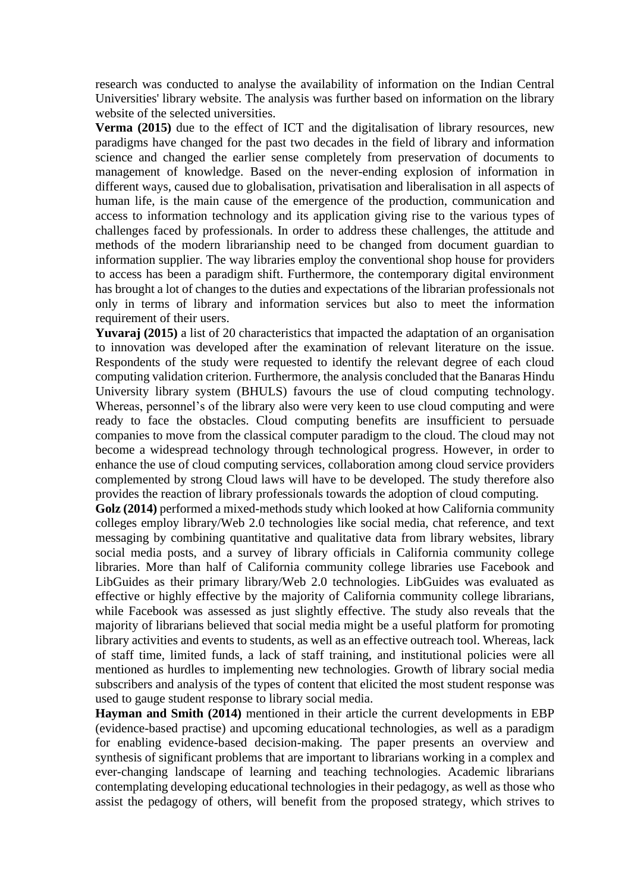research was conducted to analyse the availability of information on the Indian Central Universities' library website. The analysis was further based on information on the library website of the selected universities.

**Verma (2015)** due to the effect of ICT and the digitalisation of library resources, new paradigms have changed for the past two decades in the field of library and information science and changed the earlier sense completely from preservation of documents to management of knowledge. Based on the never-ending explosion of information in different ways, caused due to globalisation, privatisation and liberalisation in all aspects of human life, is the main cause of the emergence of the production, communication and access to information technology and its application giving rise to the various types of challenges faced by professionals. In order to address these challenges, the attitude and methods of the modern librarianship need to be changed from document guardian to information supplier. The way libraries employ the conventional shop house for providers to access has been a paradigm shift. Furthermore, the contemporary digital environment has brought a lot of changes to the duties and expectations of the librarian professionals not only in terms of library and information services but also to meet the information requirement of their users.

**Yuvaraj (2015)** a list of 20 characteristics that impacted the adaptation of an organisation to innovation was developed after the examination of relevant literature on the issue. Respondents of the study were requested to identify the relevant degree of each cloud computing validation criterion. Furthermore, the analysis concluded that the Banaras Hindu University library system (BHULS) favours the use of cloud computing technology. Whereas, personnel's of the library also were very keen to use cloud computing and were ready to face the obstacles. Cloud computing benefits are insufficient to persuade companies to move from the classical computer paradigm to the cloud. The cloud may not become a widespread technology through technological progress. However, in order to enhance the use of cloud computing services, collaboration among cloud service providers complemented by strong Cloud laws will have to be developed. The study therefore also provides the reaction of library professionals towards the adoption of cloud computing.

**Golz (2014)** performed a mixed-methods study which looked at how California community colleges employ library/Web 2.0 technologies like social media, chat reference, and text messaging by combining quantitative and qualitative data from library websites, library social media posts, and a survey of library officials in California community college libraries. More than half of California community college libraries use Facebook and LibGuides as their primary library/Web 2.0 technologies. LibGuides was evaluated as effective or highly effective by the majority of California community college librarians, while Facebook was assessed as just slightly effective. The study also reveals that the majority of librarians believed that social media might be a useful platform for promoting library activities and events to students, as well as an effective outreach tool. Whereas, lack of staff time, limited funds, a lack of staff training, and institutional policies were all mentioned as hurdles to implementing new technologies. Growth of library social media subscribers and analysis of the types of content that elicited the most student response was used to gauge student response to library social media.

**Hayman and Smith (2014)** mentioned in their article the current developments in EBP (evidence-based practise) and upcoming educational technologies, as well as a paradigm for enabling evidence-based decision-making. The paper presents an overview and synthesis of significant problems that are important to librarians working in a complex and ever-changing landscape of learning and teaching technologies. Academic librarians contemplating developing educational technologies in their pedagogy, as well as those who assist the pedagogy of others, will benefit from the proposed strategy, which strives to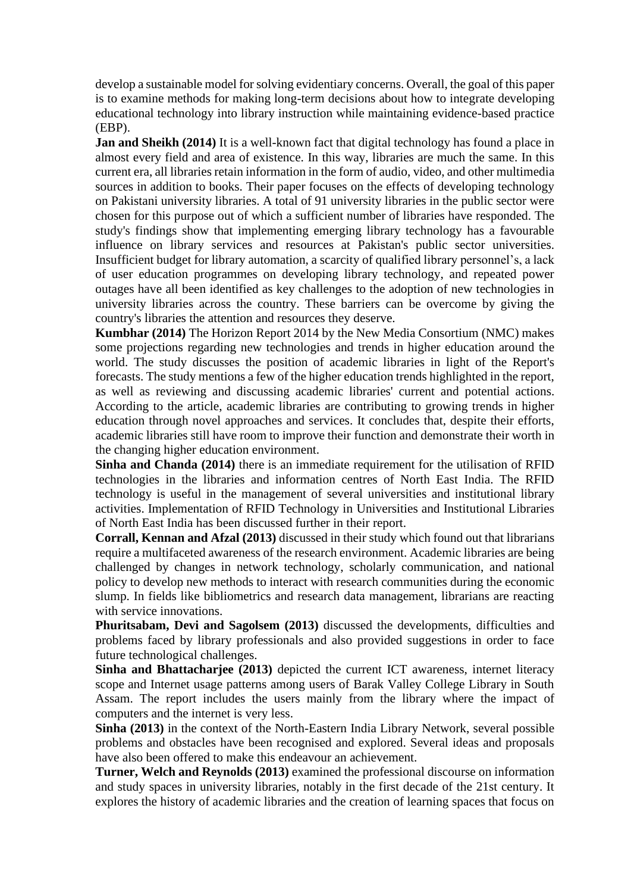develop a sustainable model for solving evidentiary concerns. Overall, the goal of this paper is to examine methods for making long-term decisions about how to integrate developing educational technology into library instruction while maintaining evidence-based practice (EBP).

**Jan and Sheikh (2014)** It is a well-known fact that digital technology has found a place in almost every field and area of existence. In this way, libraries are much the same. In this current era, all libraries retain information in the form of audio, video, and other multimedia sources in addition to books. Their paper focuses on the effects of developing technology on Pakistani university libraries. A total of 91 university libraries in the public sector were chosen for this purpose out of which a sufficient number of libraries have responded. The study's findings show that implementing emerging library technology has a favourable influence on library services and resources at Pakistan's public sector universities. Insufficient budget for library automation, a scarcity of qualified library personnel's, a lack of user education programmes on developing library technology, and repeated power outages have all been identified as key challenges to the adoption of new technologies in university libraries across the country. These barriers can be overcome by giving the country's libraries the attention and resources they deserve.

**Kumbhar (2014)** The Horizon Report 2014 by the New Media Consortium (NMC) makes some projections regarding new technologies and trends in higher education around the world. The study discusses the position of academic libraries in light of the Report's forecasts. The study mentions a few of the higher education trends highlighted in the report, as well as reviewing and discussing academic libraries' current and potential actions. According to the article, academic libraries are contributing to growing trends in higher education through novel approaches and services. It concludes that, despite their efforts, academic libraries still have room to improve their function and demonstrate their worth in the changing higher education environment.

**Sinha and Chanda (2014)** there is an immediate requirement for the utilisation of RFID technologies in the libraries and information centres of North East India. The RFID technology is useful in the management of several universities and institutional library activities. Implementation of RFID Technology in Universities and Institutional Libraries of North East India has been discussed further in their report.

**Corrall, Kennan and Afzal (2013)** discussed in their study which found out that librarians require a multifaceted awareness of the research environment. Academic libraries are being challenged by changes in network technology, scholarly communication, and national policy to develop new methods to interact with research communities during the economic slump. In fields like bibliometrics and research data management, librarians are reacting with service innovations.

**Phuritsabam, Devi and Sagolsem (2013)** discussed the developments, difficulties and problems faced by library professionals and also provided suggestions in order to face future technological challenges.

**Sinha and Bhattacharjee (2013)** depicted the current ICT awareness, internet literacy scope and Internet usage patterns among users of Barak Valley College Library in South Assam. The report includes the users mainly from the library where the impact of computers and the internet is very less.

**Sinha (2013)** in the context of the North-Eastern India Library Network, several possible problems and obstacles have been recognised and explored. Several ideas and proposals have also been offered to make this endeavour an achievement.

**Turner, Welch and Reynolds (2013)** examined the professional discourse on information and study spaces in university libraries, notably in the first decade of the 21st century. It explores the history of academic libraries and the creation of learning spaces that focus on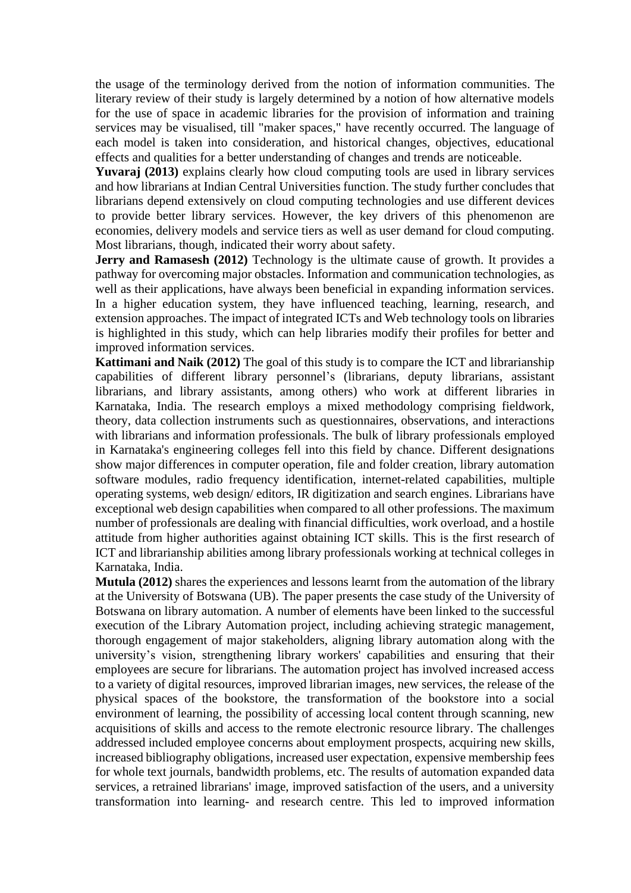the usage of the terminology derived from the notion of information communities. The literary review of their study is largely determined by a notion of how alternative models for the use of space in academic libraries for the provision of information and training services may be visualised, till "maker spaces," have recently occurred. The language of each model is taken into consideration, and historical changes, objectives, educational effects and qualities for a better understanding of changes and trends are noticeable.

**Yuvaraj (2013)** explains clearly how cloud computing tools are used in library services and how librarians at Indian Central Universities function. The study further concludes that librarians depend extensively on cloud computing technologies and use different devices to provide better library services. However, the key drivers of this phenomenon are economies, delivery models and service tiers as well as user demand for cloud computing. Most librarians, though, indicated their worry about safety.

**Jerry and Ramasesh (2012)** Technology is the ultimate cause of growth. It provides a pathway for overcoming major obstacles. Information and communication technologies, as well as their applications, have always been beneficial in expanding information services. In a higher education system, they have influenced teaching, learning, research, and extension approaches. The impact of integrated ICTs and Web technology tools on libraries is highlighted in this study, which can help libraries modify their profiles for better and improved information services.

**Kattimani and Naik (2012)** The goal of this study is to compare the ICT and librarianship capabilities of different library personnel's (librarians, deputy librarians, assistant librarians, and library assistants, among others) who work at different libraries in Karnataka, India. The research employs a mixed methodology comprising fieldwork, theory, data collection instruments such as questionnaires, observations, and interactions with librarians and information professionals. The bulk of library professionals employed in Karnataka's engineering colleges fell into this field by chance. Different designations show major differences in computer operation, file and folder creation, library automation software modules, radio frequency identification, internet-related capabilities, multiple operating systems, web design/ editors, IR digitization and search engines. Librarians have exceptional web design capabilities when compared to all other professions. The maximum number of professionals are dealing with financial difficulties, work overload, and a hostile attitude from higher authorities against obtaining ICT skills. This is the first research of ICT and librarianship abilities among library professionals working at technical colleges in Karnataka, India.

**Mutula (2012)** shares the experiences and lessons learnt from the automation of the library at the University of Botswana (UB). The paper presents the case study of the University of Botswana on library automation. A number of elements have been linked to the successful execution of the Library Automation project, including achieving strategic management, thorough engagement of major stakeholders, aligning library automation along with the university's vision, strengthening library workers' capabilities and ensuring that their employees are secure for librarians. The automation project has involved increased access to a variety of digital resources, improved librarian images, new services, the release of the physical spaces of the bookstore, the transformation of the bookstore into a social environment of learning, the possibility of accessing local content through scanning, new acquisitions of skills and access to the remote electronic resource library. The challenges addressed included employee concerns about employment prospects, acquiring new skills, increased bibliography obligations, increased user expectation, expensive membership fees for whole text journals, bandwidth problems, etc. The results of automation expanded data services, a retrained librarians' image, improved satisfaction of the users, and a university transformation into learning- and research centre. This led to improved information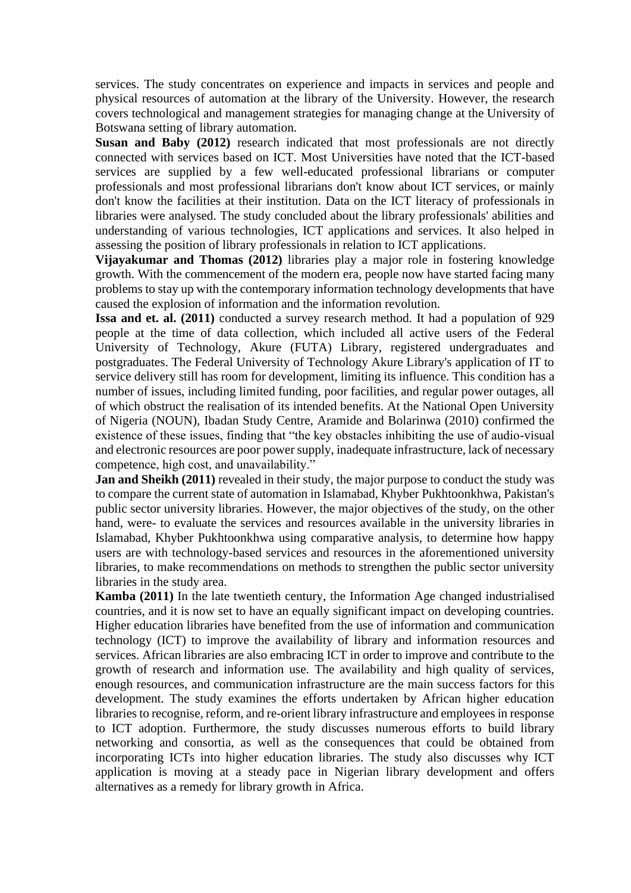services. The study concentrates on experience and impacts in services and people and physical resources of automation at the library of the University. However, the research covers technological and management strategies for managing change at the University of Botswana setting of library automation.

**Susan and Baby (2012)** research indicated that most professionals are not directly connected with services based on ICT. Most Universities have noted that the ICT-based services are supplied by a few well-educated professional librarians or computer professionals and most professional librarians don't know about ICT services, or mainly don't know the facilities at their institution. Data on the ICT literacy of professionals in libraries were analysed. The study concluded about the library professionals' abilities and understanding of various technologies, ICT applications and services. It also helped in assessing the position of library professionals in relation to ICT applications.

**Vijayakumar and Thomas (2012)** libraries play a major role in fostering knowledge growth. With the commencement of the modern era, people now have started facing many problems to stay up with the contemporary information technology developments that have caused the explosion of information and the information revolution.

**Issa and et. al. (2011)** conducted a survey research method. It had a population of 929 people at the time of data collection, which included all active users of the Federal University of Technology, Akure (FUTA) Library, registered undergraduates and postgraduates. The Federal University of Technology Akure Library's application of IT to service delivery still has room for development, limiting its influence. This condition has a number of issues, including limited funding, poor facilities, and regular power outages, all of which obstruct the realisation of its intended benefits. At the National Open University of Nigeria (NOUN), Ibadan Study Centre, Aramide and Bolarinwa (2010) confirmed the existence of these issues, finding that "the key obstacles inhibiting the use of audio-visual and electronic resources are poor power supply, inadequate infrastructure, lack of necessary competence, high cost, and unavailability."

**Jan and Sheikh (2011)** revealed in their study, the major purpose to conduct the study was to compare the current state of automation in Islamabad, Khyber Pukhtoonkhwa, Pakistan's public sector university libraries. However, the major objectives of the study, on the other hand, were- to evaluate the services and resources available in the university libraries in Islamabad, Khyber Pukhtoonkhwa using comparative analysis, to determine how happy users are with technology-based services and resources in the aforementioned university libraries, to make recommendations on methods to strengthen the public sector university libraries in the study area.

**Kamba (2011)** In the late twentieth century, the Information Age changed industrialised countries, and it is now set to have an equally significant impact on developing countries. Higher education libraries have benefited from the use of information and communication technology (ICT) to improve the availability of library and information resources and services. African libraries are also embracing ICT in order to improve and contribute to the growth of research and information use. The availability and high quality of services, enough resources, and communication infrastructure are the main success factors for this development. The study examines the efforts undertaken by African higher education libraries to recognise, reform, and re-orient library infrastructure and employees in response to ICT adoption. Furthermore, the study discusses numerous efforts to build library networking and consortia, as well as the consequences that could be obtained from incorporating ICTs into higher education libraries. The study also discusses why ICT application is moving at a steady pace in Nigerian library development and offers alternatives as a remedy for library growth in Africa.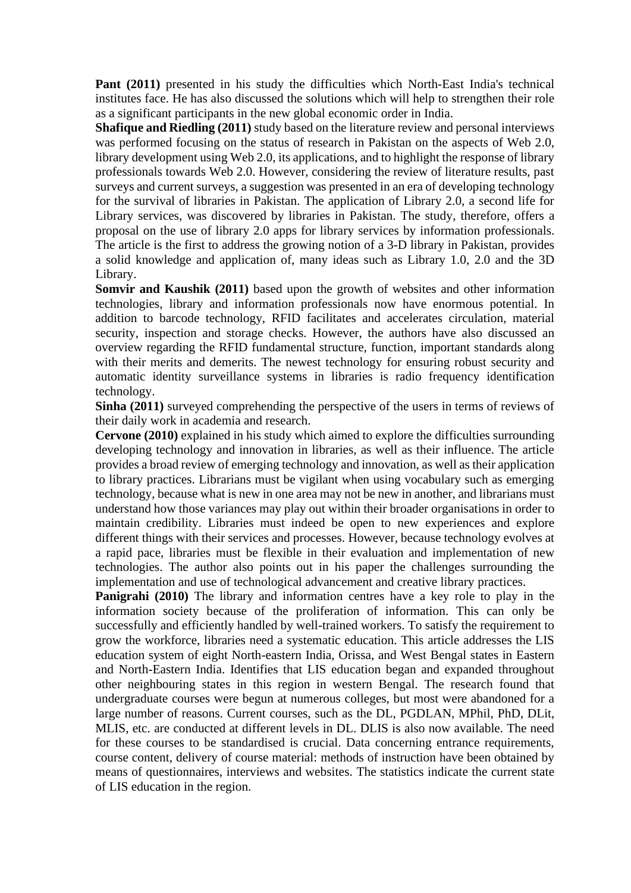**Pant (2011)** presented in his study the difficulties which North-East India's technical institutes face. He has also discussed the solutions which will help to strengthen their role as a significant participants in the new global economic order in India.

**Shafique and Riedling (2011)** study based on the literature review and personal interviews was performed focusing on the status of research in Pakistan on the aspects of Web 2.0, library development using Web 2.0, its applications, and to highlight the response of library professionals towards Web 2.0. However, considering the review of literature results, past surveys and current surveys, a suggestion was presented in an era of developing technology for the survival of libraries in Pakistan. The application of Library 2.0, a second life for Library services, was discovered by libraries in Pakistan. The study, therefore, offers a proposal on the use of library 2.0 apps for library services by information professionals. The article is the first to address the growing notion of a 3-D library in Pakistan, provides a solid knowledge and application of, many ideas such as Library 1.0, 2.0 and the 3D Library.

**Somvir and Kaushik (2011)** based upon the growth of websites and other information technologies, library and information professionals now have enormous potential. In addition to barcode technology, RFID facilitates and accelerates circulation, material security, inspection and storage checks. However, the authors have also discussed an overview regarding the RFID fundamental structure, function, important standards along with their merits and demerits. The newest technology for ensuring robust security and automatic identity surveillance systems in libraries is radio frequency identification technology.

**Sinha (2011)** surveyed comprehending the perspective of the users in terms of reviews of their daily work in academia and research.

**Cervone (2010)** explained in his study which aimed to explore the difficulties surrounding developing technology and innovation in libraries, as well as their influence. The article provides a broad review of emerging technology and innovation, as well as their application to library practices. Librarians must be vigilant when using vocabulary such as emerging technology, because what is new in one area may not be new in another, and librarians must understand how those variances may play out within their broader organisations in order to maintain credibility. Libraries must indeed be open to new experiences and explore different things with their services and processes. However, because technology evolves at a rapid pace, libraries must be flexible in their evaluation and implementation of new technologies. The author also points out in his paper the challenges surrounding the implementation and use of technological advancement and creative library practices.

**Panigrahi (2010)** The library and information centres have a key role to play in the information society because of the proliferation of information. This can only be successfully and efficiently handled by well-trained workers. To satisfy the requirement to grow the workforce, libraries need a systematic education. This article addresses the LIS education system of eight North-eastern India, Orissa, and West Bengal states in Eastern and North-Eastern India. Identifies that LIS education began and expanded throughout other neighbouring states in this region in western Bengal. The research found that undergraduate courses were begun at numerous colleges, but most were abandoned for a large number of reasons. Current courses, such as the DL, PGDLAN, MPhil, PhD, DLit, MLIS, etc. are conducted at different levels in DL. DLIS is also now available. The need for these courses to be standardised is crucial. Data concerning entrance requirements, course content, delivery of course material: methods of instruction have been obtained by means of questionnaires, interviews and websites. The statistics indicate the current state of LIS education in the region.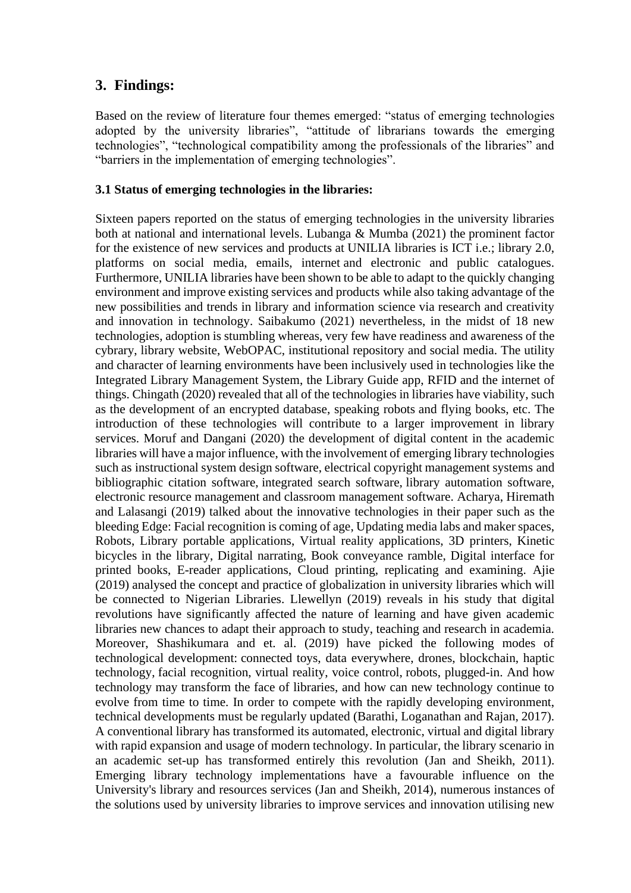### **3. Findings:**

Based on the review of literature four themes emerged: "status of emerging technologies adopted by the university libraries", "attitude of librarians towards the emerging technologies", "technological compatibility among the professionals of the libraries" and "barriers in the implementation of emerging technologies".

#### **3.1 Status of emerging technologies in the libraries:**

Sixteen papers reported on the status of emerging technologies in the university libraries both at national and international levels. Lubanga & Mumba (2021) the prominent factor for the existence of new services and products at UNILIA libraries is ICT i.e.; library 2.0, platforms on social media, emails, internet and electronic and public catalogues. Furthermore, UNILIA libraries have been shown to be able to adapt to the quickly changing environment and improve existing services and products while also taking advantage of the new possibilities and trends in library and information science via research and creativity and innovation in technology. Saibakumo (2021) nevertheless, in the midst of 18 new technologies, adoption is stumbling whereas, very few have readiness and awareness of the cybrary, library website, WebOPAC, institutional repository and social media. The utility and character of learning environments have been inclusively used in technologies like the Integrated Library Management System, the Library Guide app, RFID and the internet of things. Chingath (2020) revealed that all of the technologies in libraries have viability, such as the development of an encrypted database, speaking robots and flying books, etc. The introduction of these technologies will contribute to a larger improvement in library services. Moruf and Dangani (2020) the development of digital content in the academic libraries will have a major influence, with the involvement of emerging library technologies such as instructional system design software, electrical copyright management systems and bibliographic citation software, integrated search software, library automation software, electronic resource management and classroom management software. Acharya, Hiremath and Lalasangi (2019) talked about the innovative technologies in their paper such as the bleeding Edge: Facial recognition is coming of age, Updating media labs and maker spaces, Robots, Library portable applications, Virtual reality applications, 3D printers, Kinetic bicycles in the library, Digital narrating, Book conveyance ramble, Digital interface for printed books, E-reader applications, Cloud printing, replicating and examining. Ajie (2019) analysed the concept and practice of globalization in university libraries which will be connected to Nigerian Libraries. Llewellyn (2019) reveals in his study that digital revolutions have significantly affected the nature of learning and have given academic libraries new chances to adapt their approach to study, teaching and research in academia. Moreover, Shashikumara and et. al. (2019) have picked the following modes of technological development: connected toys, data everywhere, drones, blockchain, haptic technology, facial recognition, virtual reality, voice control, robots, plugged-in. And how technology may transform the face of libraries, and how can new technology continue to evolve from time to time. In order to compete with the rapidly developing environment, technical developments must be regularly updated (Barathi, Loganathan and Rajan, 2017). A conventional library has transformed its automated, electronic, virtual and digital library with rapid expansion and usage of modern technology. In particular, the library scenario in an academic set-up has transformed entirely this revolution (Jan and Sheikh, 2011). Emerging library technology implementations have a favourable influence on the University's library and resources services (Jan and Sheikh, 2014), numerous instances of the solutions used by university libraries to improve services and innovation utilising new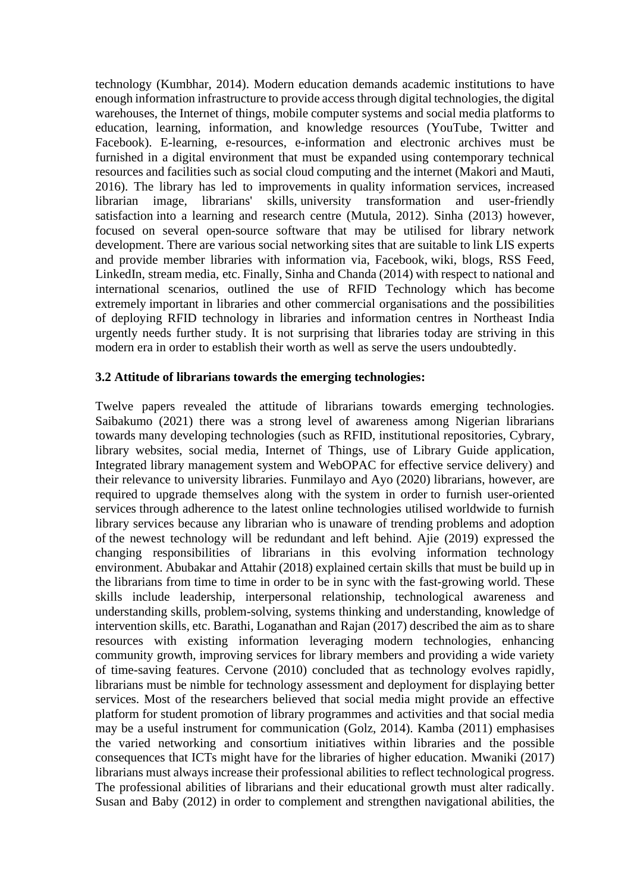technology (Kumbhar, 2014). Modern education demands academic institutions to have enough information infrastructure to provide access through digital technologies, the digital warehouses, the Internet of things, mobile computer systems and social media platforms to education, learning, information, and knowledge resources (YouTube, Twitter and Facebook). E-learning, e-resources, e-information and electronic archives must be furnished in a digital environment that must be expanded using contemporary technical resources and facilities such as social cloud computing and the internet (Makori and Mauti, 2016). The library has led to improvements in quality information services, increased librarian image, librarians' skills, university transformation and user-friendly satisfaction into a learning and research centre (Mutula, 2012). Sinha (2013) however, focused on several open-source software that may be utilised for library network development. There are various social networking sites that are suitable to link LIS experts and provide member libraries with information via, Facebook, wiki, blogs, RSS Feed, LinkedIn, stream media, etc. Finally, Sinha and Chanda (2014) with respect to national and international scenarios, outlined the use of RFID Technology which has become extremely important in libraries and other commercial organisations and the possibilities of deploying RFID technology in libraries and information centres in Northeast India urgently needs further study. It is not surprising that libraries today are striving in this modern era in order to establish their worth as well as serve the users undoubtedly.

#### **3.2 Attitude of librarians towards the emerging technologies:**

Twelve papers revealed the attitude of librarians towards emerging technologies. Saibakumo (2021) there was a strong level of awareness among Nigerian librarians towards many developing technologies (such as RFID, institutional repositories, Cybrary, library websites, social media, Internet of Things, use of Library Guide application, Integrated library management system and WebOPAC for effective service delivery) and their relevance to university libraries. Funmilayo and Ayo (2020) librarians, however, are required to upgrade themselves along with the system in order to furnish user-oriented services through adherence to the latest online technologies utilised worldwide to furnish library services because any librarian who is unaware of trending problems and adoption of the newest technology will be redundant and left behind. Ajie (2019) expressed the changing responsibilities of librarians in this evolving information technology environment. Abubakar and Attahir (2018) explained certain skills that must be build up in the librarians from time to time in order to be in sync with the fast-growing world. These skills include leadership, interpersonal relationship, technological awareness and understanding skills, problem-solving, systems thinking and understanding, knowledge of intervention skills, etc. Barathi, Loganathan and Rajan (2017) described the aim as to share resources with existing information leveraging modern technologies, enhancing community growth, improving services for library members and providing a wide variety of time-saving features. Cervone (2010) concluded that as technology evolves rapidly, librarians must be nimble for technology assessment and deployment for displaying better services. Most of the researchers believed that social media might provide an effective platform for student promotion of library programmes and activities and that social media may be a useful instrument for communication (Golz, 2014). Kamba (2011) emphasises the varied networking and consortium initiatives within libraries and the possible consequences that ICTs might have for the libraries of higher education. Mwaniki (2017) librarians must always increase their professional abilities to reflect technological progress. The professional abilities of librarians and their educational growth must alter radically. Susan and Baby (2012) in order to complement and strengthen navigational abilities, the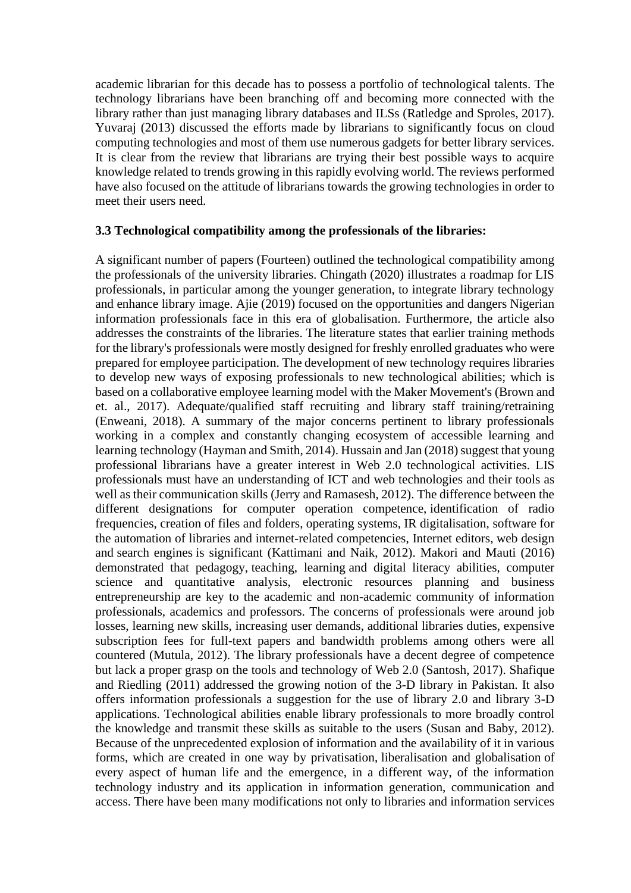academic librarian for this decade has to possess a portfolio of technological talents. The technology librarians have been branching off and becoming more connected with the library rather than just managing library databases and ILSs (Ratledge and Sproles, 2017). Yuvaraj (2013) discussed the efforts made by librarians to significantly focus on cloud computing technologies and most of them use numerous gadgets for better library services. It is clear from the review that librarians are trying their best possible ways to acquire knowledge related to trends growing in this rapidly evolving world. The reviews performed have also focused on the attitude of librarians towards the growing technologies in order to meet their users need.

#### **3.3 Technological compatibility among the professionals of the libraries:**

A significant number of papers (Fourteen) outlined the technological compatibility among the professionals of the university libraries. Chingath (2020) illustrates a roadmap for LIS professionals, in particular among the younger generation, to integrate library technology and enhance library image. Ajie (2019) focused on the opportunities and dangers Nigerian information professionals face in this era of globalisation. Furthermore, the article also addresses the constraints of the libraries. The literature states that earlier training methods for the library's professionals were mostly designed for freshly enrolled graduates who were prepared for employee participation. The development of new technology requires libraries to develop new ways of exposing professionals to new technological abilities; which is based on a collaborative employee learning model with the Maker Movement's (Brown and et. al., 2017). Adequate/qualified staff recruiting and library staff training/retraining (Enweani, 2018). A summary of the major concerns pertinent to library professionals working in a complex and constantly changing ecosystem of accessible learning and learning technology (Hayman and Smith, 2014). Hussain and Jan (2018) suggest that young professional librarians have a greater interest in Web 2.0 technological activities. LIS professionals must have an understanding of ICT and web technologies and their tools as well as their communication skills (Jerry and Ramasesh, 2012). The difference between the different designations for computer operation competence, identification of radio frequencies, creation of files and folders, operating systems, IR digitalisation, software for the automation of libraries and internet-related competencies, Internet editors, web design and search engines is significant (Kattimani and Naik, 2012). Makori and Mauti (2016) demonstrated that pedagogy, teaching, learning and digital literacy abilities, computer science and quantitative analysis, electronic resources planning and business entrepreneurship are key to the academic and non-academic community of information professionals, academics and professors. The concerns of professionals were around job losses, learning new skills, increasing user demands, additional libraries duties, expensive subscription fees for full-text papers and bandwidth problems among others were all countered (Mutula, 2012). The library professionals have a decent degree of competence but lack a proper grasp on the tools and technology of Web 2.0 (Santosh, 2017). Shafique and Riedling (2011) addressed the growing notion of the 3-D library in Pakistan. It also offers information professionals a suggestion for the use of library 2.0 and library 3-D applications. Technological abilities enable library professionals to more broadly control the knowledge and transmit these skills as suitable to the users (Susan and Baby, 2012). Because of the unprecedented explosion of information and the availability of it in various forms, which are created in one way by privatisation, liberalisation and globalisation of every aspect of human life and the emergence, in a different way, of the information technology industry and its application in information generation, communication and access. There have been many modifications not only to libraries and information services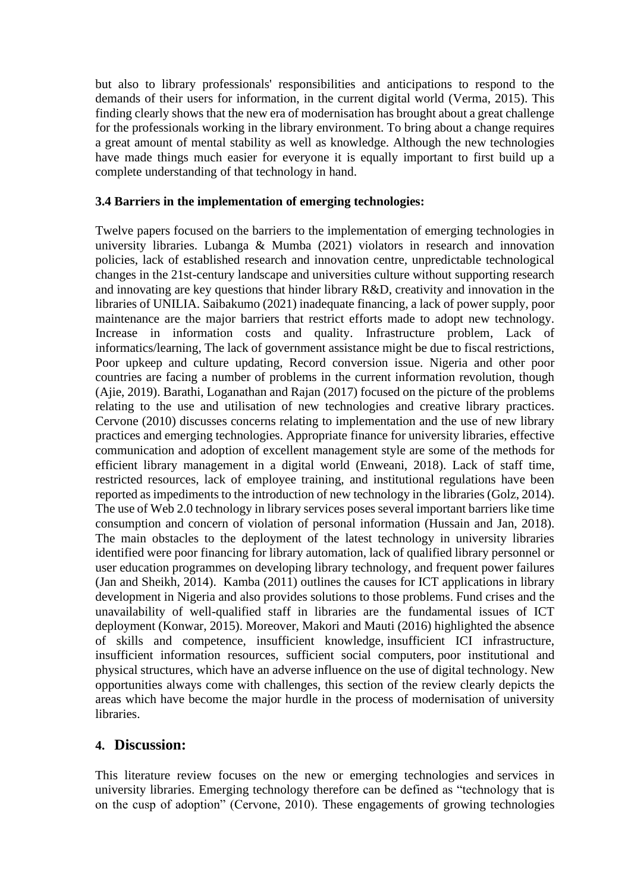but also to library professionals' responsibilities and anticipations to respond to the demands of their users for information, in the current digital world (Verma, 2015). This finding clearly shows that the new era of modernisation has brought about a great challenge for the professionals working in the library environment. To bring about a change requires a great amount of mental stability as well as knowledge. Although the new technologies have made things much easier for everyone it is equally important to first build up a complete understanding of that technology in hand.

### **3.4 Barriers in the implementation of emerging technologies:**

Twelve papers focused on the barriers to the implementation of emerging technologies in university libraries. Lubanga & Mumba (2021) violators in research and innovation policies, lack of established research and innovation centre, unpredictable technological changes in the 21st-century landscape and universities culture without supporting research and innovating are key questions that hinder library R&D, creativity and innovation in the libraries of UNILIA. Saibakumo (2021) inadequate financing, a lack of power supply, poor maintenance are the major barriers that restrict efforts made to adopt new technology. Increase in information costs and quality. Infrastructure problem, Lack of informatics/learning, The lack of government assistance might be due to fiscal restrictions, Poor upkeep and culture updating, Record conversion issue. Nigeria and other poor countries are facing a number of problems in the current information revolution, though (Ajie, 2019). Barathi, Loganathan and Rajan (2017) focused on the picture of the problems relating to the use and utilisation of new technologies and creative library practices. Cervone (2010) discusses concerns relating to implementation and the use of new library practices and emerging technologies. Appropriate finance for university libraries, effective communication and adoption of excellent management style are some of the methods for efficient library management in a digital world (Enweani, 2018). Lack of staff time, restricted resources, lack of employee training, and institutional regulations have been reported as impediments to the introduction of new technology in the libraries (Golz, 2014). The use of Web 2.0 technology in library services poses several important barriers like time consumption and concern of violation of personal information (Hussain and Jan, 2018). The main obstacles to the deployment of the latest technology in university libraries identified were poor financing for library automation, lack of qualified library personnel or user education programmes on developing library technology, and frequent power failures (Jan and Sheikh, 2014). Kamba (2011) outlines the causes for ICT applications in library development in Nigeria and also provides solutions to those problems. Fund crises and the unavailability of well-qualified staff in libraries are the fundamental issues of ICT deployment (Konwar, 2015). Moreover, Makori and Mauti (2016) highlighted the absence of skills and competence, insufficient knowledge, insufficient ICI infrastructure, insufficient information resources, sufficient social computers, poor institutional and physical structures, which have an adverse influence on the use of digital technology. New opportunities always come with challenges, this section of the review clearly depicts the areas which have become the major hurdle in the process of modernisation of university libraries.

### **4. Discussion:**

This literature review focuses on the new or emerging technologies and services in university libraries. Emerging technology therefore can be defined as "technology that is on the cusp of adoption" (Cervone, 2010). These engagements of growing technologies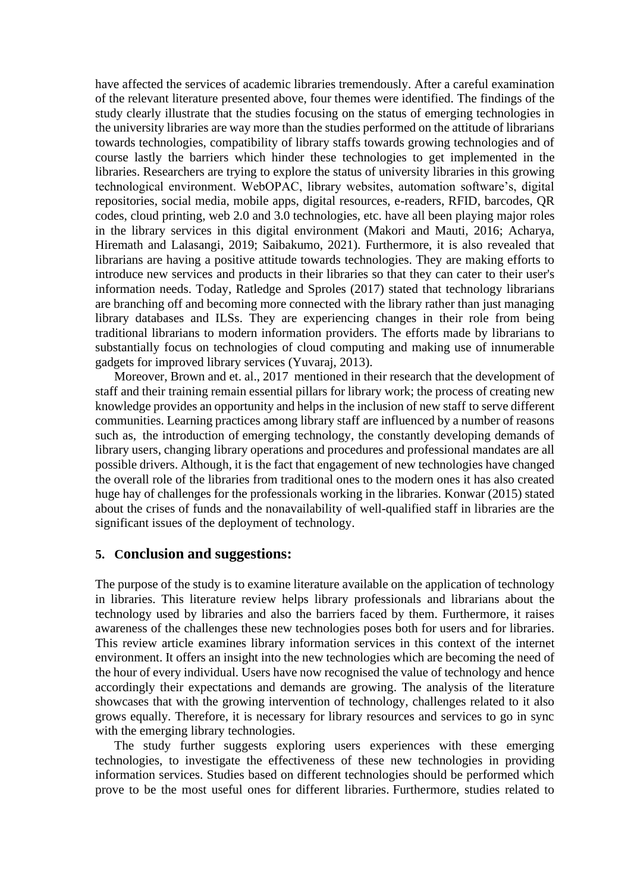have affected the services of academic libraries tremendously. After a careful examination of the relevant literature presented above, four themes were identified. The findings of the study clearly illustrate that the studies focusing on the status of emerging technologies in the university libraries are way more than the studies performed on the attitude of librarians towards technologies, compatibility of library staffs towards growing technologies and of course lastly the barriers which hinder these technologies to get implemented in the libraries. Researchers are trying to explore the status of university libraries in this growing technological environment. WebOPAC, library websites, automation software's, digital repositories, social media, mobile apps, digital resources, e-readers, RFID, barcodes, QR codes, cloud printing, web 2.0 and 3.0 technologies, etc. have all been playing major roles in the library services in this digital environment (Makori and Mauti, 2016; Acharya, Hiremath and Lalasangi, 2019; Saibakumo, 2021). Furthermore, it is also revealed that librarians are having a positive attitude towards technologies. They are making efforts to introduce new services and products in their libraries so that they can cater to their user's information needs. Today, Ratledge and Sproles (2017) stated that technology librarians are branching off and becoming more connected with the library rather than just managing library databases and ILSs. They are experiencing changes in their role from being traditional librarians to modern information providers. The efforts made by librarians to substantially focus on technologies of cloud computing and making use of innumerable gadgets for improved library services (Yuvaraj, 2013).

Moreover, Brown and et. al., 2017 mentioned in their research that the development of staff and their training remain essential pillars for library work; the process of creating new knowledge provides an opportunity and helps in the inclusion of new staff to serve different communities. Learning practices among library staff are influenced by a number of reasons such as, the introduction of emerging technology, the constantly developing demands of library users, changing library operations and procedures and professional mandates are all possible drivers. Although, it is the fact that engagement of new technologies have changed the overall role of the libraries from traditional ones to the modern ones it has also created huge hay of challenges for the professionals working in the libraries. Konwar (2015) stated about the crises of funds and the nonavailability of well-qualified staff in libraries are the significant issues of the deployment of technology.

#### **5. Conclusion and suggestions:**

The purpose of the study is to examine literature available on the application of technology in libraries. This literature review helps library professionals and librarians about the technology used by libraries and also the barriers faced by them. Furthermore, it raises awareness of the challenges these new technologies poses both for users and for libraries. This review article examines library information services in this context of the internet environment. It offers an insight into the new technologies which are becoming the need of the hour of every individual. Users have now recognised the value of technology and hence accordingly their expectations and demands are growing. The analysis of the literature showcases that with the growing intervention of technology, challenges related to it also grows equally. Therefore, it is necessary for library resources and services to go in sync with the emerging library technologies.

The study further suggests exploring users experiences with these emerging technologies, to investigate the effectiveness of these new technologies in providing information services. Studies based on different technologies should be performed which prove to be the most useful ones for different libraries. Furthermore, studies related to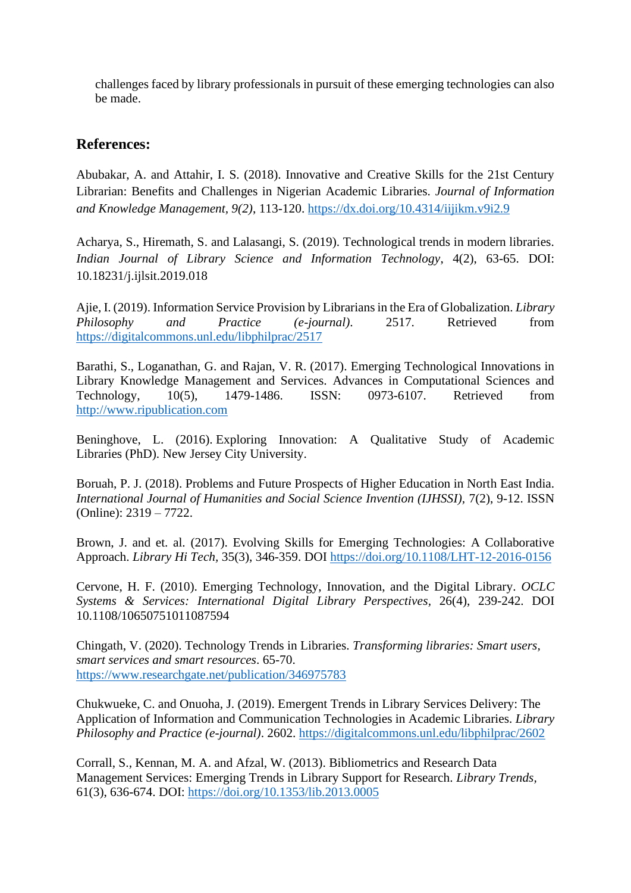challenges faced by library professionals in pursuit of these emerging technologies can also be made.

### **References:**

Abubakar, A. and Attahir, I. S. (2018). Innovative and Creative Skills for the 21st Century Librarian: Benefits and Challenges in Nigerian Academic Libraries. *Journal of Information and Knowledge Management, 9(2)*, 113-120.<https://dx.doi.org/10.4314/iijikm.v9i2.9>

Acharya, S., Hiremath, S. and Lalasangi, S. (2019). Technological trends in modern libraries. *Indian Journal of Library Science and Information Technology*, 4(2), 63-65. DOI: 10.18231/j.ijlsit.2019.018

Ajie, I. (2019). Information Service Provision by Librarians in the Era of Globalization. *Library Philosophy and Practice (e-journal)*. 2517. Retrieved from <https://digitalcommons.unl.edu/libphilprac/2517>

Barathi, S., Loganathan, G. and Rajan, V. R. (2017). Emerging Technological Innovations in Library Knowledge Management and Services. Advances in Computational Sciences and Technology, 10(5), 1479-1486. ISSN: 0973-6107. Retrieved from [http://www.ripublication.com](http://www.ripublication.com/) 

Beninghove, L. (2016). Exploring Innovation: A Qualitative Study of Academic Libraries (PhD). New Jersey City University.

Boruah, P. J. (2018). Problems and Future Prospects of Higher Education in North East India. *International Journal of Humanities and Social Science Invention (IJHSSI),* 7(2), 9-12. ISSN (Online): 2319 – 7722.

Brown, J. and et. al. (2017). Evolving Skills for Emerging Technologies: A Collaborative Approach. *Library Hi Tech,* 35(3), 346-359. DOI<https://doi.org/10.1108/LHT-12-2016-0156>

Cervone, H. F. (2010). Emerging Technology, Innovation, and the Digital Library. *OCLC Systems & Services: International Digital Library Perspectives,* 26(4), 239-242. DOI 10.1108/10650751011087594

Chingath, V. (2020). Technology Trends in Libraries. *Transforming libraries: Smart users, smart services and smart resources*. 65-70. <https://www.researchgate.net/publication/346975783>

Chukwueke, C. and Onuoha, J. (2019). Emergent Trends in Library Services Delivery: The Application of Information and Communication Technologies in Academic Libraries. *Library Philosophy and Practice (e-journal)*. 2602.<https://digitalcommons.unl.edu/libphilprac/2602>

Corrall, S., Kennan, M. A. and Afzal, W. (2013). Bibliometrics and Research Data Management Services: Emerging Trends in Library Support for Research. *Library Trends,*  61(3), 636-674. DOI:<https://doi.org/10.1353/lib.2013.0005>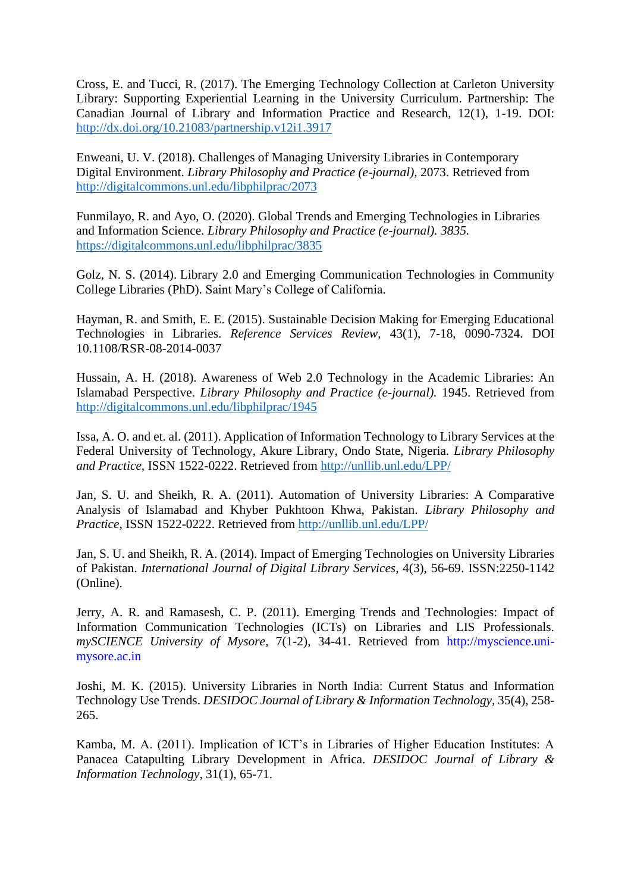Cross, E. and Tucci, R. (2017). The Emerging Technology Collection at Carleton University Library: Supporting Experiential Learning in the University Curriculum. Partnership: The Canadian Journal of Library and Information Practice and Research, 12(1), 1-19. DOI: <http://dx.doi.org/10.21083/partnership.v12i1.3917>

Enweani, U. V. (2018). Challenges of Managing University Libraries in Contemporary Digital Environment. *Library Philosophy and Practice (e-journal),* 2073. Retrieved from <http://digitalcommons.unl.edu/libphilprac/2073>

Funmilayo, R. and Ayo, O. (2020). Global Trends and Emerging Technologies in Libraries and Information Science. *Library Philosophy and Practice (e-journal). 3835.* <https://digitalcommons.unl.edu/libphilprac/3835>

Golz, N. S. (2014). Library 2.0 and Emerging Communication Technologies in Community College Libraries (PhD). Saint Mary's College of California.

Hayman, R. and Smith, E. E. (2015). Sustainable Decision Making for Emerging Educational Technologies in Libraries. *Reference Services Review,* 43(1), 7-18, 0090-7324. DOI 10.1108/RSR-08-2014-0037

Hussain, A. H. (2018). Awareness of Web 2.0 Technology in the Academic Libraries: An Islamabad Perspective. *Library Philosophy and Practice (e-journal).* 1945. Retrieved from <http://digitalcommons.unl.edu/libphilprac/1945>

Issa, A. O. and et. al. (2011). Application of Information Technology to Library Services at the Federal University of Technology, Akure Library, Ondo State, Nigeria. *Library Philosophy and Practice,* ISSN 1522-0222. Retrieved from<http://unllib.unl.edu/LPP/>

Jan, S. U. and Sheikh, R. A. (2011). Automation of University Libraries: A Comparative Analysis of Islamabad and Khyber Pukhtoon Khwa, Pakistan. *Library Philosophy and Practice,* ISSN 1522-0222. Retrieved from<http://unllib.unl.edu/LPP/>

Jan, S. U. and Sheikh, R. A. (2014). Impact of Emerging Technologies on University Libraries of Pakistan. *International Journal of Digital Library Services,* 4(3), 56-69. ISSN:2250-1142 (Online).

Jerry, A. R. and Ramasesh, C. P. (2011). Emerging Trends and Technologies: Impact of Information Communication Technologies (ICTs) on Libraries and LIS Professionals. *mySCIENCE University of Mysore,* 7(1-2), 34-41. Retrieved from http://myscience.unimysore.ac.in

Joshi, M. K. (2015). University Libraries in North India: Current Status and Information Technology Use Trends. *DESIDOC Journal of Library & Information Technology,* 35(4), 258- 265.

Kamba, M. A. (2011). Implication of ICT's in Libraries of Higher Education Institutes: A Panacea Catapulting Library Development in Africa. *DESIDOC Journal of Library & Information Technology,* 31(1), 65-71.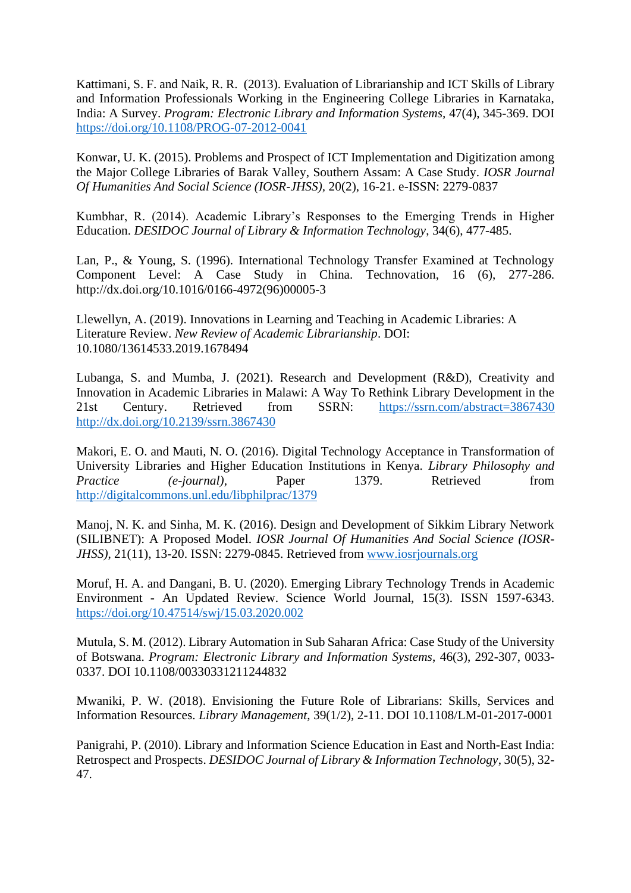Kattimani, S. F. and Naik, R. R. (2013). Evaluation of Librarianship and ICT Skills of Library and Information Professionals Working in the Engineering College Libraries in Karnataka, India: A Survey. *Program: Electronic Library and Information Systems,* 47(4), 345-369. DOI <https://doi.org/10.1108/PROG-07-2012-0041>

Konwar, U. K. (2015). Problems and Prospect of ICT Implementation and Digitization among the Major College Libraries of Barak Valley, Southern Assam: A Case Study. *IOSR Journal Of Humanities And Social Science (IOSR-JHSS),* 20(2), 16-21. e-ISSN: 2279-0837

Kumbhar, R. (2014). Academic Library's Responses to the Emerging Trends in Higher Education. *DESIDOC Journal of Library & Information Technology*, 34(6), 477-485.

Lan, P., & Young, S. (1996). International Technology Transfer Examined at Technology Component Level: A Case Study in China. Technovation, 16 (6), 277-286. http://dx.doi.org/10.1016/0166-4972(96)00005-3

Llewellyn, A. (2019). Innovations in Learning and Teaching in Academic Libraries: A Literature Review. *New Review of Academic Librarianship*. DOI: 10.1080/13614533.2019.1678494

Lubanga, S. and Mumba, J. (2021). Research and Development (R&D), Creativity and Innovation in Academic Libraries in Malawi: A Way To Rethink Library Development in the 21st Century. Retrieved from SSRN: <https://ssrn.com/abstract=3867430> <http://dx.doi.org/10.2139/ssrn.3867430>

Makori, E. O. and Mauti, N. O. (2016). Digital Technology Acceptance in Transformation of University Libraries and Higher Education Institutions in Kenya. *Library Philosophy and Practice* (*e-journal*), Paper 1379. Retrieved from <http://digitalcommons.unl.edu/libphilprac/1379>

Manoj, N. K. and Sinha, M. K. (2016). Design and Development of Sikkim Library Network (SILIBNET): A Proposed Model. *IOSR Journal Of Humanities And Social Science (IOSR-JHSS)*, 21(11), 13-20. ISSN: 2279-0845. Retrieved from [www.iosrjournals.org](http://www.iosrjournals.org/)

Moruf, H. A. and Dangani, B. U. (2020). Emerging Library Technology Trends in Academic Environment - An Updated Review. Science World Journal, 15(3). ISSN 1597-6343. <https://doi.org/10.47514/swj/15.03.2020.002>

Mutula, S. M. (2012). Library Automation in Sub Saharan Africa: Case Study of the University of Botswana. *Program: Electronic Library and Information Systems*, 46(3), 292-307, 0033- 0337. DOI 10.1108/00330331211244832

Mwaniki, P. W. (2018). Envisioning the Future Role of Librarians: Skills, Services and Information Resources. *Library Management*, 39(1/2), 2-11. DOI 10.1108/LM-01-2017-0001

Panigrahi, P. (2010). Library and Information Science Education in East and North-East India: Retrospect and Prospects. *DESIDOC Journal of Library & Information Technology*, 30(5), 32- 47.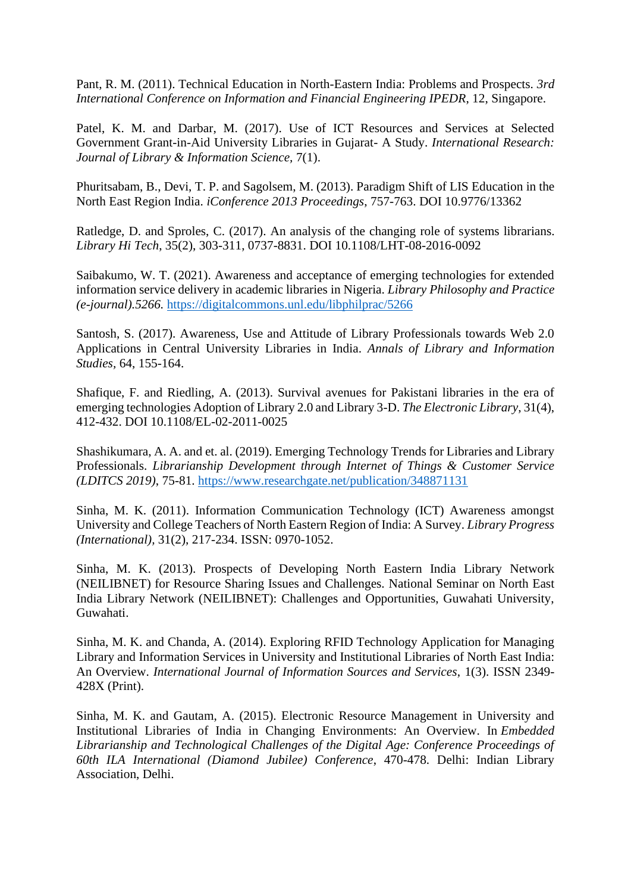Pant, R. M. (2011). Technical Education in North-Eastern India: Problems and Prospects. *3rd International Conference on Information and Financial Engineering IPEDR*, 12, Singapore.

Patel, K. M. and Darbar, M. (2017). Use of ICT Resources and Services at Selected Government Grant-in-Aid University Libraries in Gujarat- A Study. *International Research: Journal of Library & Information Science,* 7(1).

Phuritsabam, B., Devi, T. P. and Sagolsem, M. (2013). Paradigm Shift of LIS Education in the North East Region India. *iConference 2013 Proceedings*, 757-763. DOI 10.9776/13362

Ratledge, D. and Sproles, C. (2017). An analysis of the changing role of systems librarians. *Library Hi Tech*, 35(2), 303-311, 0737-8831. DOI 10.1108/LHT-08-2016-0092

Saibakumo, W. T. (2021). Awareness and acceptance of emerging technologies for extended information service delivery in academic libraries in Nigeria. *Library Philosophy and Practice (e-journal).5266.* <https://digitalcommons.unl.edu/libphilprac/5266>

Santosh, S. (2017). Awareness, Use and Attitude of Library Professionals towards Web 2.0 Applications in Central University Libraries in India. *Annals of Library and Information Studies,* 64, 155-164.

Shafique, F. and Riedling, A. (2013). Survival avenues for Pakistani libraries in the era of emerging technologies Adoption of Library 2.0 and Library 3-D. *The Electronic Library*, 31(4), 412-432. DOI 10.1108/EL-02-2011-0025

Shashikumara, A. A. and et. al. (2019). Emerging Technology Trends for Libraries and Library Professionals. *Librarianship Development through Internet of Things & Customer Service (LDITCS 2019)*, 75-81.<https://www.researchgate.net/publication/348871131>

Sinha, M. K. (2011). Information Communication Technology (ICT) Awareness amongst University and College Teachers of North Eastern Region of India: A Survey. *Library Progress (International),* 31(2), 217-234. ISSN: 0970-1052.

Sinha, M. K. (2013). Prospects of Developing North Eastern India Library Network (NEILIBNET) for Resource Sharing Issues and Challenges. National Seminar on North East India Library Network (NEILIBNET): Challenges and Opportunities, Guwahati University, Guwahati.

Sinha, M. K. and Chanda, A. (2014). Exploring RFID Technology Application for Managing Library and Information Services in University and Institutional Libraries of North East India: An Overview. *International Journal of Information Sources and Services*, 1(3). ISSN 2349- 428X (Print).

Sinha, M. K. and Gautam, A. (2015). Electronic Resource Management in University and Institutional Libraries of India in Changing Environments: An Overview. In *Embedded Librarianship and Technological Challenges of the Digital Age: Conference Proceedings of 60th ILA International (Diamond Jubilee) Conference*, 470-478. Delhi: Indian Library Association, Delhi.